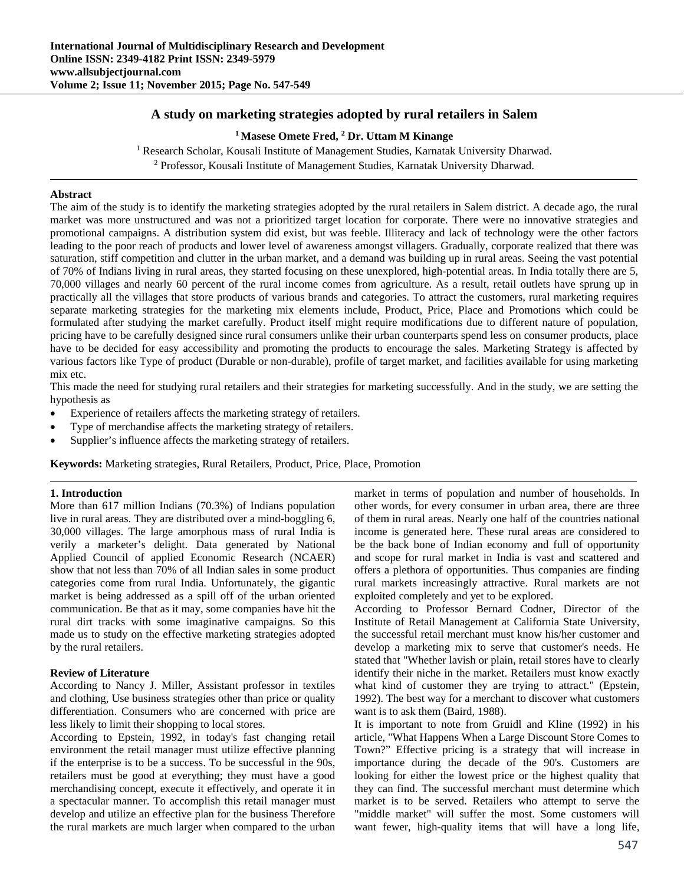# **A study on marketing strategies adopted by rural retailers in Salem**

### <sup>1</sup> Masese Omete Fred, <sup>2</sup> Dr. Uttam M Kinange

<sup>1</sup> Research Scholar, Kousali Institute of Management Studies, Karnatak University Dharwad.<br><sup>2</sup> Professor, Kousali Institute of Management Studies, Karnatak University Dharwad. <sup>2</sup> Professor, Kousali Institute of Management Studies, Karnatak University Dharwad.

### **Abstract**

The aim of the study is to identify the marketing strategies adopted by the rural retailers in Salem district. A decade ago, the rural market was more unstructured and was not a prioritized target location for corporate. There were no innovative strategies and promotional campaigns. A distribution system did exist, but was feeble. Illiteracy and lack of technology were the other factors leading to the poor reach of products and lower level of awareness amongst villagers. Gradually, corporate realized that there was saturation, stiff competition and clutter in the urban market, and a demand was building up in rural areas. Seeing the vast potential of 70% of Indians living in rural areas, they started focusing on these unexplored, high-potential areas. In India totally there are 5, 70,000 villages and nearly 60 percent of the rural income comes from agriculture. As a result, retail outlets have sprung up in practically all the villages that store products of various brands and categories. To attract the customers, rural marketing requires separate marketing strategies for the marketing mix elements include, Product, Price, Place and Promotions which could be formulated after studying the market carefully. Product itself might require modifications due to different nature of population, pricing have to be carefully designed since rural consumers unlike their urban counterparts spend less on consumer products, place have to be decided for easy accessibility and promoting the products to encourage the sales. Marketing Strategy is affected by various factors like Type of product (Durable or non-durable), profile of target market, and facilities available for using marketing mix etc.

This made the need for studying rural retailers and their strategies for marketing successfully. And in the study, we are setting the hypothesis as

- Experience of retailers affects the marketing strategy of retailers.
- Type of merchandise affects the marketing strategy of retailers.
- Supplier's influence affects the marketing strategy of retailers.

**Keywords:** Marketing strategies, Rural Retailers, Product, Price, Place, Promotion

# **1. Introduction**

More than 617 million Indians (70.3%) of Indians population live in rural areas. They are distributed over a mind-boggling 6, 30,000 villages. The large amorphous mass of rural India is verily a marketer's delight. Data generated by National Applied Council of applied Economic Research (NCAER) show that not less than 70% of all Indian sales in some product categories come from rural India. Unfortunately, the gigantic market is being addressed as a spill off of the urban oriented communication. Be that as it may, some companies have hit the rural dirt tracks with some imaginative campaigns. So this made us to study on the effective marketing strategies adopted by the rural retailers.

# **Review of Literature**

According to Nancy J. Miller, Assistant professor in textiles and clothing, Use business strategies other than price or quality differentiation. Consumers who are concerned with price are less likely to limit their shopping to local stores.

According to Epstein, 1992, in today's fast changing retail environment the retail manager must utilize effective planning if the enterprise is to be a success. To be successful in the 90s, retailers must be good at everything; they must have a good merchandising concept, execute it effectively, and operate it in a spectacular manner. To accomplish this retail manager must develop and utilize an effective plan for the business Therefore the rural markets are much larger when compared to the urban

market in terms of population and number of households. In other words, for every consumer in urban area, there are three of them in rural areas. Nearly one half of the countries national income is generated here. These rural areas are considered to be the back bone of Indian economy and full of opportunity and scope for rural market in India is vast and scattered and offers a plethora of opportunities. Thus companies are finding rural markets increasingly attractive. Rural markets are not exploited completely and yet to be explored.

According to Professor Bernard Codner, Director of the Institute of Retail Management at California State University, the successful retail merchant must know his/her customer and develop a marketing mix to serve that customer's needs. He stated that "Whether lavish or plain, retail stores have to clearly identify their niche in the market. Retailers must know exactly what kind of customer they are trying to attract." (Epstein, 1992). The best way for a merchant to discover what customers want is to ask them (Baird, 1988).

It is important to note from Gruidl and Kline (1992) in his article, "What Happens When a Large Discount Store Comes to Town?" Effective pricing is a strategy that will increase in importance during the decade of the 90's. Customers are looking for either the lowest price or the highest quality that they can find. The successful merchant must determine which market is to be served. Retailers who attempt to serve the "middle market" will suffer the most. Some customers will want fewer, high-quality items that will have a long life,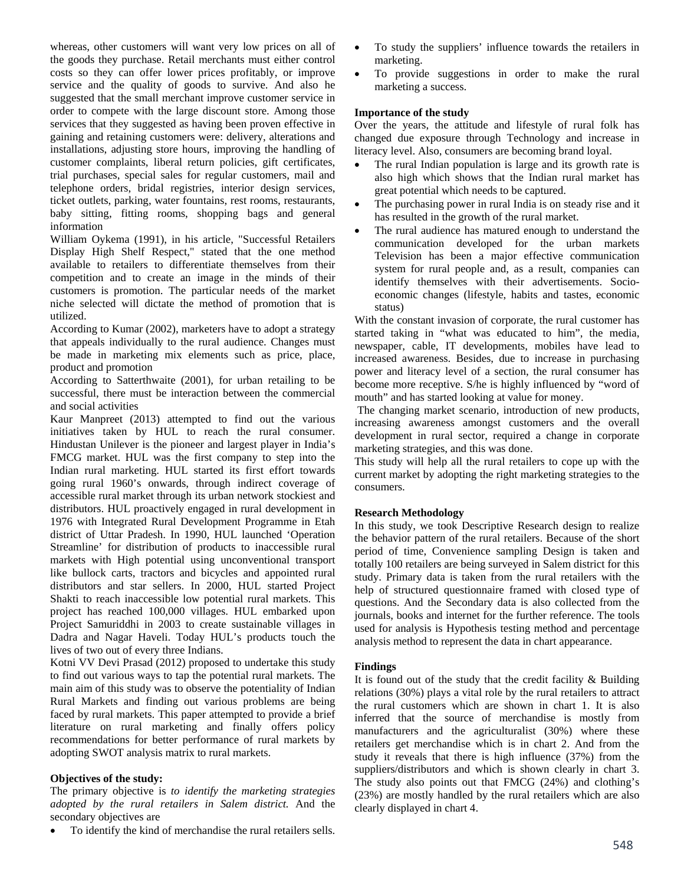whereas, other customers will want very low prices on all of the goods they purchase. Retail merchants must either control costs so they can offer lower prices profitably, or improve service and the quality of goods to survive. And also he suggested that the small merchant improve customer service in order to compete with the large discount store. Among those services that they suggested as having been proven effective in gaining and retaining customers were: delivery, alterations and installations, adjusting store hours, improving the handling of customer complaints, liberal return policies, gift certificates, trial purchases, special sales for regular customers, mail and telephone orders, bridal registries, interior design services, ticket outlets, parking, water fountains, rest rooms, restaurants, baby sitting, fitting rooms, shopping bags and general information

William Oykema (1991), in his article, "Successful Retailers Display High Shelf Respect," stated that the one method available to retailers to differentiate themselves from their competition and to create an image in the minds of their customers is promotion. The particular needs of the market niche selected will dictate the method of promotion that is utilized.

According to Kumar (2002), marketers have to adopt a strategy that appeals individually to the rural audience. Changes must be made in marketing mix elements such as price, place, product and promotion

According to Satterthwaite (2001), for urban retailing to be successful, there must be interaction between the commercial and social activities

Kaur Manpreet (2013) attempted to find out the various initiatives taken by HUL to reach the rural consumer. Hindustan Unilever is the pioneer and largest player in India's FMCG market. HUL was the first company to step into the Indian rural marketing. HUL started its first effort towards going rural 1960's onwards, through indirect coverage of accessible rural market through its urban network stockiest and distributors. HUL proactively engaged in rural development in 1976 with Integrated Rural Development Programme in Etah district of Uttar Pradesh. In 1990, HUL launched 'Operation Streamline' for distribution of products to inaccessible rural markets with High potential using unconventional transport like bullock carts, tractors and bicycles and appointed rural distributors and star sellers. In 2000, HUL started Project Shakti to reach inaccessible low potential rural markets. This project has reached 100,000 villages. HUL embarked upon Project Samuriddhi in 2003 to create sustainable villages in Dadra and Nagar Haveli. Today HUL's products touch the lives of two out of every three Indians.

Kotni VV Devi Prasad (2012) proposed to undertake this study to find out various ways to tap the potential rural markets. The main aim of this study was to observe the potentiality of Indian Rural Markets and finding out various problems are being faced by rural markets. This paper attempted to provide a brief literature on rural marketing and finally offers policy recommendations for better performance of rural markets by adopting SWOT analysis matrix to rural markets.

# **Objectives of the study:**

The primary objective is *to identify the marketing strategies adopted by the rural retailers in Salem district.* And the secondary objectives are

To identify the kind of merchandise the rural retailers sells.

- To study the suppliers' influence towards the retailers in marketing.
- To provide suggestions in order to make the rural marketing a success.

#### **Importance of the study**

Over the years, the attitude and lifestyle of rural folk has changed due exposure through Technology and increase in literacy level. Also, consumers are becoming brand loyal.

- The rural Indian population is large and its growth rate is also high which shows that the Indian rural market has great potential which needs to be captured.
- The purchasing power in rural India is on steady rise and it has resulted in the growth of the rural market.
- The rural audience has matured enough to understand the communication developed for the urban markets Television has been a major effective communication system for rural people and, as a result, companies can identify themselves with their advertisements. Socioeconomic changes (lifestyle, habits and tastes, economic status)

With the constant invasion of corporate, the rural customer has started taking in "what was educated to him", the media, newspaper, cable, IT developments, mobiles have lead to increased awareness. Besides, due to increase in purchasing power and literacy level of a section, the rural consumer has become more receptive. S/he is highly influenced by "word of mouth" and has started looking at value for money.

 The changing market scenario, introduction of new products, increasing awareness amongst customers and the overall development in rural sector, required a change in corporate marketing strategies, and this was done.

This study will help all the rural retailers to cope up with the current market by adopting the right marketing strategies to the consumers.

#### **Research Methodology**

In this study, we took Descriptive Research design to realize the behavior pattern of the rural retailers. Because of the short period of time, Convenience sampling Design is taken and totally 100 retailers are being surveyed in Salem district for this study. Primary data is taken from the rural retailers with the help of structured questionnaire framed with closed type of questions. And the Secondary data is also collected from the journals, books and internet for the further reference. The tools used for analysis is Hypothesis testing method and percentage analysis method to represent the data in chart appearance.

#### **Findings**

It is found out of the study that the credit facility & Building relations (30%) plays a vital role by the rural retailers to attract the rural customers which are shown in chart 1. It is also inferred that the source of merchandise is mostly from manufacturers and the agriculturalist (30%) where these retailers get merchandise which is in chart 2. And from the study it reveals that there is high influence (37%) from the suppliers/distributors and which is shown clearly in chart 3. The study also points out that FMCG (24%) and clothing's (23%) are mostly handled by the rural retailers which are also clearly displayed in chart 4.